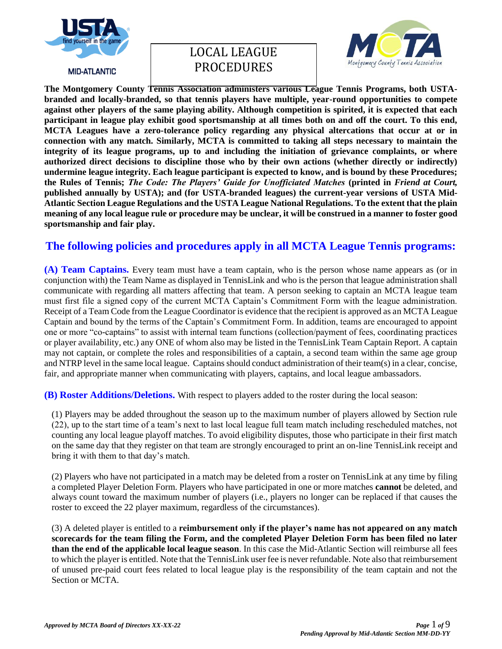

# LOCAL LEAGUE PROCEDURES



**The Montgomery County Tennis Association administers various League Tennis Programs, both USTAbranded and locally-branded, so that tennis players have multiple, year-round opportunities to compete against other players of the same playing ability. Although competition is spirited, it is expected that each participant in league play exhibit good sportsmanship at all times both on and off the court. To this end, MCTA Leagues have a zero-tolerance policy regarding any physical altercations that occur at or in connection with any match. Similarly, MCTA is committed to taking all steps necessary to maintain the integrity of its league programs, up to and including the initiation of grievance complaints, or where authorized direct decisions to discipline those who by their own actions (whether directly or indirectly) undermine league integrity. Each league participant is expected to know, and is bound by these Procedures; the Rules of Tennis;** *The Code: The Players' Guide for Unofficiated Matches* **(printed in** *Friend at Court,*  **published annually by USTA); and (for USTA-branded leagues) the current-year versions of USTA Mid-Atlantic Section League Regulations and the USTA League National Regulations. To the extent that the plain meaning of any local league rule or procedure may be unclear, it will be construed in a manner to foster good sportsmanship and fair play.**

### **The following policies and procedures apply in all MCTA League Tennis programs:**

**(A) Team Captains.** Every team must have a team captain, who is the person whose name appears as (or in conjunction with) the Team Name as displayed in TennisLink and who is the person that league administration shall communicate with regarding all matters affecting that team. A person seeking to captain an MCTA league team must first file a signed copy of the current MCTA Captain's Commitment Form with the league administration. Receipt of a Team Code from the League Coordinator is evidence that the recipient is approved as an MCTA League Captain and bound by the terms of the Captain's Commitment Form. In addition, teams are encouraged to appoint one or more "co-captains" to assist with internal team functions (collection/payment of fees, coordinating practices or player availability, etc.) any ONE of whom also may be listed in the TennisLink Team Captain Report. A captain may not captain, or complete the roles and responsibilities of a captain, a second team within the same age group and NTRP level in the same local league. Captains should conduct administration of their team(s) in a clear, concise, fair, and appropriate manner when communicating with players, captains, and local league ambassadors.

**(B) Roster Additions/Deletions.** With respect to players added to the roster during the local season:

(1) Players may be added throughout the season up to the maximum number of players allowed by Section rule (22), up to the start time of a team's next to last local league full team match including rescheduled matches, not counting any local league playoff matches. To avoid eligibility disputes, those who participate in their first match on the same day that they register on that team are strongly encouraged to print an on-line TennisLink receipt and bring it with them to that day's match.

(2) Players who have not participated in a match may be deleted from a roster on TennisLink at any time by filing a completed Player Deletion Form. Players who have participated in one or more matches **cannot** be deleted, and always count toward the maximum number of players (i.e., players no longer can be replaced if that causes the roster to exceed the 22 player maximum, regardless of the circumstances).

(3) A deleted player is entitled to a **reimbursement only if the player's name has not appeared on any match scorecards for the team filing the Form, and the completed Player Deletion Form has been filed no later than the end of the applicable local league season**. In this case the Mid-Atlantic Section will reimburse all fees to which the player is entitled. Note that the TennisLink user fee is never refundable. Note also that reimbursement of unused pre-paid court fees related to local league play is the responsibility of the team captain and not the Section or MCTA.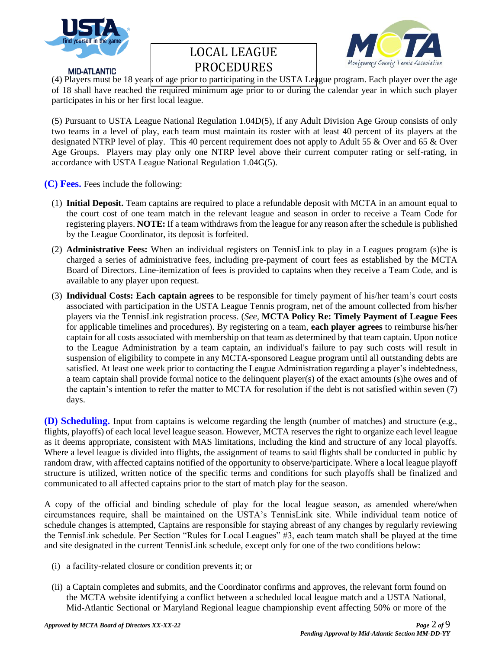





(4) Players must be 18 years of age prior to participating in the USTA League program. Each player over the age of 18 shall have reached the required minimum age prior to or during the calendar year in which such player participates in his or her first local league.

(5) Pursuant to USTA League National Regulation 1.04D(5), if any Adult Division Age Group consists of only two teams in a level of play, each team must maintain its roster with at least 40 percent of its players at the designated NTRP level of play. This 40 percent requirement does not apply to Adult 55 & Over and 65 & Over Age Groups. Players may play only one NTRP level above their current computer rating or self-rating, in accordance with USTA League National Regulation 1.04G(5).

**(C) Fees.** Fees include the following:

- (1) **Initial Deposit.** Team captains are required to place a refundable deposit with MCTA in an amount equal to the court cost of one team match in the relevant league and season in order to receive a Team Code for registering players. **NOTE:** If a team withdraws from the league for any reason after the schedule is published by the League Coordinator, its deposit is forfeited.
- (2) **Administrative Fees:** When an individual registers on TennisLink to play in a Leagues program (s)he is charged a series of administrative fees, including pre-payment of court fees as established by the MCTA Board of Directors. Line-itemization of fees is provided to captains when they receive a Team Code, and is available to any player upon request.
- (3) **Individual Costs: Each captain agrees** to be responsible for timely payment of his/her team's court costs associated with participation in the USTA League Tennis program, net of the amount collected from his/her players via the TennisLink registration process. (*See,* **MCTA Policy Re: Timely Payment of League Fees** for applicable timelines and procedures). By registering on a team, **each player agrees** to reimburse his/her captain for all costs associated with membership on that team as determined by that team captain. Upon notice to the League Administration by a team captain, an individual's failure to pay such costs will result in suspension of eligibility to compete in any MCTA-sponsored League program until all outstanding debts are satisfied. At least one week prior to contacting the League Administration regarding a player's indebtedness, a team captain shall provide formal notice to the delinquent player(s) of the exact amounts (s)he owes and of the captain's intention to refer the matter to MCTA for resolution if the debt is not satisfied within seven (7) days.

**(D) Scheduling.** Input from captains is welcome regarding the length (number of matches) and structure (e.g., flights, playoffs) of each local level league season. However, MCTA reserves the right to organize each level league as it deems appropriate, consistent with MAS limitations, including the kind and structure of any local playoffs. Where a level league is divided into flights, the assignment of teams to said flights shall be conducted in public by random draw, with affected captains notified of the opportunity to observe/participate. Where a local league playoff structure is utilized, written notice of the specific terms and conditions for such playoffs shall be finalized and communicated to all affected captains prior to the start of match play for the season.

A copy of the official and binding schedule of play for the local league season, as amended where/when circumstances require, shall be maintained on the USTA's TennisLink site. While individual team notice of schedule changes is attempted, Captains are responsible for staying abreast of any changes by regularly reviewing the TennisLink schedule. Per Section "Rules for Local Leagues" #3, each team match shall be played at the time and site designated in the current TennisLink schedule, except only for one of the two conditions below:

- (i) a facility-related closure or condition prevents it; or
- (ii) a Captain completes and submits, and the Coordinator confirms and approves, the relevant form found on the MCTA website identifying a conflict between a scheduled local league match and a USTA National, Mid-Atlantic Sectional or Maryland Regional league championship event affecting 50% or more of the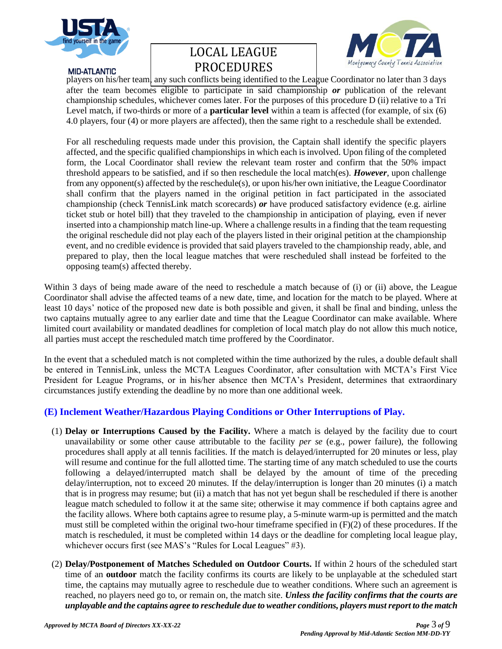

# LOCAL LEAGUE PROCEDURES



players on his/her team, any such conflicts being identified to the League Coordinator no later than 3 days after the team becomes eligible to participate in said championship *or* publication of the relevant championship schedules, whichever comes later. For the purposes of this procedure D (ii) relative to a Tri Level match, if two-thirds or more of a **particular level** within a team is affected (for example, of six (6) 4.0 players, four (4) or more players are affected), then the same right to a reschedule shall be extended.

For all rescheduling requests made under this provision, the Captain shall identify the specific players affected, and the specific qualified championships in which each is involved. Upon filing of the completed form, the Local Coordinator shall review the relevant team roster and confirm that the 50% impact threshold appears to be satisfied, and if so then reschedule the local match(es). *However*, upon challenge from any opponent(s) affected by the reschedule(s), or upon his/her own initiative, the League Coordinator shall confirm that the players named in the original petition in fact participated in the associated championship (check TennisLink match scorecards) *or* have produced satisfactory evidence (e.g. airline ticket stub or hotel bill) that they traveled to the championship in anticipation of playing, even if never inserted into a championship match line-up. Where a challenge results in a finding that the team requesting the original reschedule did not play each of the players listed in their original petition at the championship event, and no credible evidence is provided that said players traveled to the championship ready, able, and prepared to play, then the local league matches that were rescheduled shall instead be forfeited to the opposing team(s) affected thereby.

Within 3 days of being made aware of the need to reschedule a match because of (i) or (ii) above, the League Coordinator shall advise the affected teams of a new date, time, and location for the match to be played. Where at least 10 days' notice of the proposed new date is both possible and given, it shall be final and binding, unless the two captains mutually agree to any earlier date and time that the League Coordinator can make available. Where limited court availability or mandated deadlines for completion of local match play do not allow this much notice, all parties must accept the rescheduled match time proffered by the Coordinator.

In the event that a scheduled match is not completed within the time authorized by the rules, a double default shall be entered in TennisLink, unless the MCTA Leagues Coordinator, after consultation with MCTA's First Vice President for League Programs, or in his/her absence then MCTA's President, determines that extraordinary circumstances justify extending the deadline by no more than one additional week.

### **(E) Inclement Weather/Hazardous Playing Conditions or Other Interruptions of Play.**

- (1) **Delay or Interruptions Caused by the Facility.** Where a match is delayed by the facility due to court unavailability or some other cause attributable to the facility *per se* (e.g., power failure), the following procedures shall apply at all tennis facilities. If the match is delayed/interrupted for 20 minutes or less, play will resume and continue for the full allotted time. The starting time of any match scheduled to use the courts following a delayed/interrupted match shall be delayed by the amount of time of the preceding delay/interruption, not to exceed 20 minutes. If the delay/interruption is longer than 20 minutes (i) a match that is in progress may resume; but (ii) a match that has not yet begun shall be rescheduled if there is another league match scheduled to follow it at the same site; otherwise it may commence if both captains agree and the facility allows. Where both captains agree to resume play, a 5-minute warm-up is permitted and the match must still be completed within the original two-hour timeframe specified in (F)(2) of these procedures. If the match is rescheduled, it must be completed within 14 days or the deadline for completing local league play, whichever occurs first (see MAS's "Rules for Local Leagues" #3).
- (2) **Delay/Postponement of Matches Scheduled on Outdoor Courts.** If within 2 hours of the scheduled start time of an **outdoor** match the facility confirms its courts are likely to be unplayable at the scheduled start time, the captains may mutually agree to reschedule due to weather conditions. Where such an agreement is reached, no players need go to, or remain on, the match site. *Unless the facility confirms that the courts are unplayable and the captains agree to reschedule due to weather conditions, players must report to the match*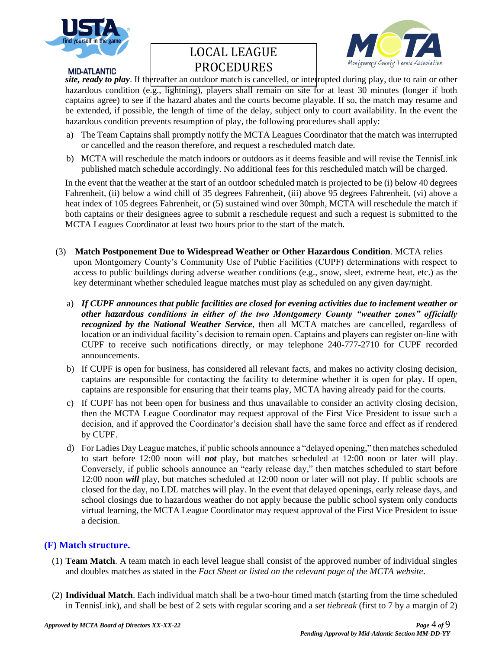

# LOCAL LEAGUE PROCEDURES



*site, ready to play*. If thereafter an outdoor match is cancelled, or interrupted during play, due to rain or other hazardous condition (e.g., lightning), players shall remain on site for at least 30 minutes (longer if both captains agree) to see if the hazard abates and the courts become playable. If so, the match may resume and be extended, if possible, the length of time of the delay, subject only to court availability. In the event the hazardous condition prevents resumption of play, the following procedures shall apply:

- a) The Team Captains shall promptly notify the MCTA Leagues Coordinator that the match was interrupted or cancelled and the reason therefore, and request a rescheduled match date.
- b) MCTA will reschedule the match indoors or outdoors as it deems feasible and will revise the TennisLink published match schedule accordingly. No additional fees for this rescheduled match will be charged.

In the event that the weather at the start of an outdoor scheduled match is projected to be (i) below 40 degrees Fahrenheit, (ii) below a wind chill of 35 degrees Fahrenheit, (iii) above 95 degrees Fahrenheit, (vi) above a heat index of 105 degrees Fahrenheit, or (5) sustained wind over 30mph, MCTA will reschedule the match if both captains or their designees agree to submit a reschedule request and such a request is submitted to the MCTA Leagues Coordinator at least two hours prior to the start of the match.

- (3) **Match Postponement Due to Widespread Weather or Other Hazardous Condition**. MCTA relies upon Montgomery County's Community Use of Public Facilities (CUPF) determinations with respect to access to public buildings during adverse weather conditions (e.g., snow, sleet, extreme heat, etc.) as the key determinant whether scheduled league matches must play as scheduled on any given day/night.
	- a) *If CUPF announces that public facilities are closed for evening activities due to inclement weather or other hazardous conditions in either of the two Montgomery County "weather zones" officially recognized by the National Weather Service*, then all MCTA matches are cancelled, regardless of location or an individual facility's decision to remain open. Captains and players can register on-line with CUPF to receive such notifications directly, or may telephone 240-777-2710 for CUPF recorded announcements.
	- b) If CUPF is open for business, has considered all relevant facts, and makes no activity closing decision, captains are responsible for contacting the facility to determine whether it is open for play. If open, captains are responsible for ensuring that their teams play, MCTA having already paid for the courts.
	- c) If CUPF has not been open for business and thus unavailable to consider an activity closing decision, then the MCTA League Coordinator may request approval of the First Vice President to issue such a decision, and if approved the Coordinator's decision shall have the same force and effect as if rendered by CUPF.
	- d) For Ladies Day League matches, if public schools announce a "delayed opening," then matches scheduled to start before 12:00 noon will *not* play, but matches scheduled at 12:00 noon or later will play. Conversely, if public schools announce an "early release day," then matches scheduled to start before 12:00 noon *will* play, but matches scheduled at 12:00 noon or later will not play. If public schools are closed for the day, no LDL matches will play. In the event that delayed openings, early release days, and school closings due to hazardous weather do not apply because the public school system only conducts virtual learning, the MCTA League Coordinator may request approval of the First Vice President to issue a decision.

### **(F) Match structure.**

- (1) **Team Match**. A team match in each level league shall consist of the approved number of individual singles and doubles matches as stated in the *Fact Sheet or listed on the relevant page of the MCTA website*.
- (2) **Individual Match**. Each individual match shall be a two-hour timed match (starting from the time scheduled in TennisLink), and shall be best of 2 sets with regular scoring and a *set tiebreak* (first to 7 by a margin of 2)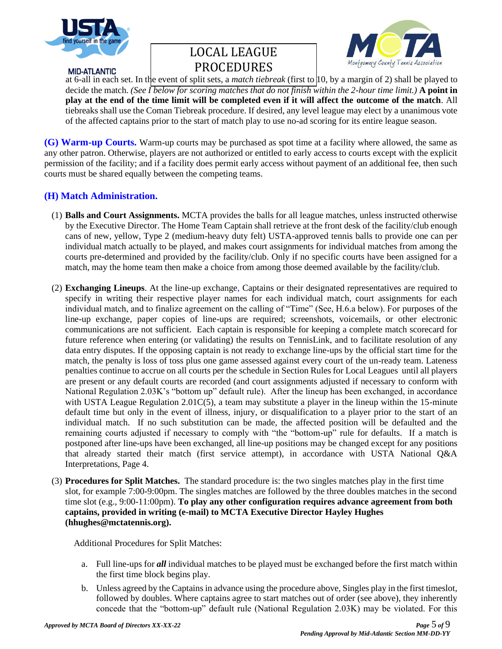

# LOCAL LEAGUE PROCEDURES



**MID-ATLANTIC** at 6-all in each set. In the event of split sets, a *match tiebreak* (first to 10, by a margin of 2) shall be played to decide the match. *(See I below for scoring matches that do not finish within the 2-hour time limit.)* **A point in play at the end of the time limit will be completed even if it will affect the outcome of the match**. All tiebreaks shall use the Coman Tiebreak procedure. If desired, any level league may elect by a unanimous vote of the affected captains prior to the start of match play to use no-ad scoring for its entire league season.

**(G) Warm-up Courts.** Warm-up courts may be purchased as spot time at a facility where allowed, the same as any other patron. Otherwise, players are not authorized or entitled to early access to courts except with the explicit permission of the facility; and if a facility does permit early access without payment of an additional fee, then such courts must be shared equally between the competing teams.

### **(H) Match Administration.**

- (1) **Balls and Court Assignments.** MCTA provides the balls for all league matches, unless instructed otherwise by the Executive Director. The Home Team Captain shall retrieve at the front desk of the facility/club enough cans of new, yellow, Type 2 (medium-heavy duty felt) USTA-approved tennis balls to provide one can per individual match actually to be played, and makes court assignments for individual matches from among the courts pre-determined and provided by the facility/club. Only if no specific courts have been assigned for a match, may the home team then make a choice from among those deemed available by the facility/club.
- (2) **Exchanging Lineups**. At the line-up exchange, Captains or their designated representatives are required to specify in writing their respective player names for each individual match, court assignments for each individual match, and to finalize agreement on the calling of "Time" (See, H.6.a below). For purposes of the line-up exchange, paper copies of line-ups are required; screenshots, voicemails, or other electronic communications are not sufficient. Each captain is responsible for keeping a complete match scorecard for future reference when entering (or validating) the results on TennisLink, and to facilitate resolution of any data entry disputes. If the opposing captain is not ready to exchange line-ups by the official start time for the match, the penalty is loss of toss plus one game assessed against every court of the un-ready team. Lateness penalties continue to accrue on all courts per the schedule in Section Rules for Local Leagues until all players are present or any default courts are recorded (and court assignments adjusted if necessary to conform with National Regulation 2.03K's "bottom up" default rule). After the lineup has been exchanged, in accordance with USTA League Regulation  $2.01C(5)$ , a team may substitute a player in the lineup within the 15-minute default time but only in the event of illness, injury, or disqualification to a player prior to the start of an individual match. If no such substitution can be made, the affected position will be defaulted and the remaining courts adjusted if necessary to comply with "the "bottom-up" rule for defaults. If a match is postponed after line-ups have been exchanged, all line-up positions may be changed except for any positions that already started their match (first service attempt), in accordance with USTA National Q&A Interpretations, Page 4.
- (3) **Procedures for Split Matches.** The standard procedure is: the two singles matches play in the first time slot, for example 7:00-9:00pm. The singles matches are followed by the three doubles matches in the second time slot (e.g., 9:00-11:00pm). **To play any other configuration requires advance agreement from both captains, provided in writing (e-mail) to MCTA Executive Director Hayley Hughes (hhughes@mctatennis.org).**

Additional Procedures for Split Matches:

- a. Full line-ups for *all* individual matches to be played must be exchanged before the first match within the first time block begins play.
- b. Unless agreed by the Captains in advance using the procedure above, Singles play in the first timeslot, followed by doubles. Where captains agree to start matches out of order (see above), they inherently concede that the "bottom-up" default rule (National Regulation 2.03K) may be violated. For this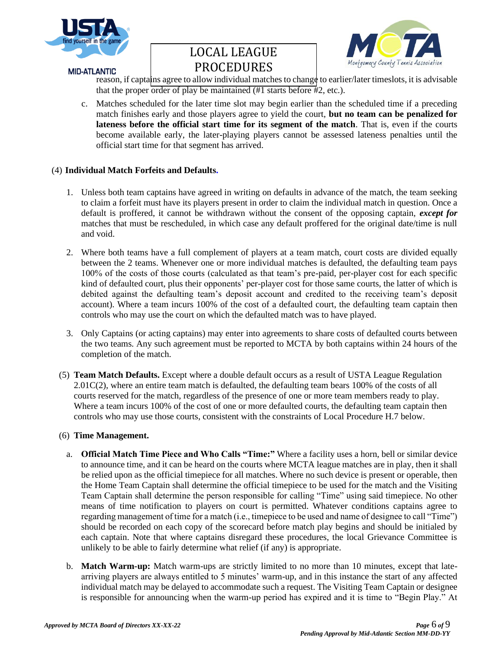

# LOCAL LEAGUE PROCEDURES



reason, if captains agree to allow individual matches to change to earlier/later timeslots, it is advisable that the proper order of play be maintained  $(\#1)$  starts before  $\#2$ , etc.).

c. Matches scheduled for the later time slot may begin earlier than the scheduled time if a preceding match finishes early and those players agree to yield the court, **but no team can be penalized for lateness before the official start time for its segment of the match**. That is, even if the courts become available early, the later-playing players cannot be assessed lateness penalties until the official start time for that segment has arrived.

#### (4) **Individual Match Forfeits and Defaults.**

- 1. Unless both team captains have agreed in writing on defaults in advance of the match, the team seeking to claim a forfeit must have its players present in order to claim the individual match in question. Once a default is proffered, it cannot be withdrawn without the consent of the opposing captain, *except for* matches that must be rescheduled, in which case any default proffered for the original date/time is null and void.
- 2. Where both teams have a full complement of players at a team match, court costs are divided equally between the 2 teams. Whenever one or more individual matches is defaulted, the defaulting team pays 100% of the costs of those courts (calculated as that team's pre-paid, per-player cost for each specific kind of defaulted court, plus their opponents' per-player cost for those same courts, the latter of which is debited against the defaulting team's deposit account and credited to the receiving team's deposit account). Where a team incurs 100% of the cost of a defaulted court, the defaulting team captain then controls who may use the court on which the defaulted match was to have played.
- 3. Only Captains (or acting captains) may enter into agreements to share costs of defaulted courts between the two teams. Any such agreement must be reported to MCTA by both captains within 24 hours of the completion of the match.
- (5) **Team Match Defaults.** Except where a double default occurs as a result of USTA League Regulation 2.01C(2), where an entire team match is defaulted, the defaulting team bears 100% of the costs of all courts reserved for the match, regardless of the presence of one or more team members ready to play. Where a team incurs 100% of the cost of one or more defaulted courts, the defaulting team captain then controls who may use those courts, consistent with the constraints of Local Procedure H.7 below.

#### (6) **Time Management.**

- a. **Official Match Time Piece and Who Calls "Time:"** Where a facility uses a horn, bell or similar device to announce time, and it can be heard on the courts where MCTA league matches are in play, then it shall be relied upon as the official timepiece for all matches. Where no such device is present or operable, then the Home Team Captain shall determine the official timepiece to be used for the match and the Visiting Team Captain shall determine the person responsible for calling "Time" using said timepiece. No other means of time notification to players on court is permitted. Whatever conditions captains agree to regarding management of time for a match (i.e., timepiece to be used and name of designee to call "Time") should be recorded on each copy of the scorecard before match play begins and should be initialed by each captain. Note that where captains disregard these procedures, the local Grievance Committee is unlikely to be able to fairly determine what relief (if any) is appropriate.
- b. **Match Warm-up:** Match warm-ups are strictly limited to no more than 10 minutes, except that latearriving players are always entitled to 5 minutes' warm-up, and in this instance the start of any affected individual match may be delayed to accommodate such a request. The Visiting Team Captain or designee is responsible for announcing when the warm-up period has expired and it is time to "Begin Play." At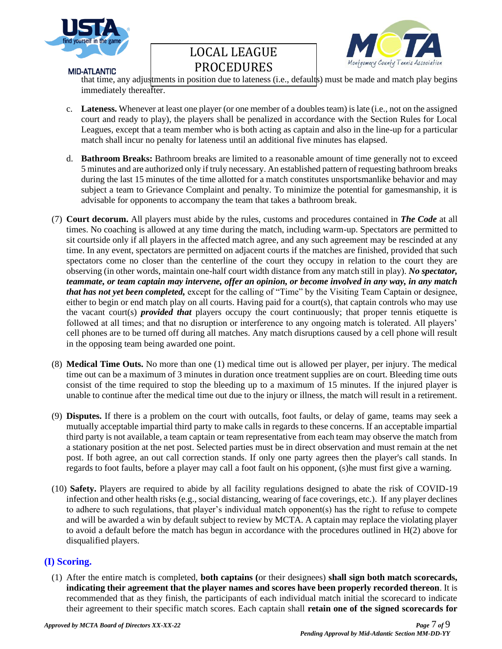

## LOCAL LEAGUE PROCEDURES



that time, any adjustments in position due to lateness (i.e., defaults) must be made and match play begins immediately thereafter.

- c. **Lateness.** Whenever at least one player (or one member of a doubles team) is late (i.e., not on the assigned court and ready to play), the players shall be penalized in accordance with the Section Rules for Local Leagues, except that a team member who is both acting as captain and also in the line-up for a particular match shall incur no penalty for lateness until an additional five minutes has elapsed.
- d. **Bathroom Breaks:** Bathroom breaks are limited to a reasonable amount of time generally not to exceed 5 minutes and are authorized only if truly necessary. An established pattern of requesting bathroom breaks during the last 15 minutes of the time allotted for a match constitutes unsportsmanlike behavior and may subject a team to Grievance Complaint and penalty. To minimize the potential for gamesmanship, it is advisable for opponents to accompany the team that takes a bathroom break.
- (7) **Court decorum.** All players must abide by the rules, customs and procedures contained in *The Code* at all times. No coaching is allowed at any time during the match, including warm-up. Spectators are permitted to sit courtside only if all players in the affected match agree, and any such agreement may be rescinded at any time. In any event, spectators are permitted on adjacent courts if the matches are finished, provided that such spectators come no closer than the centerline of the court they occupy in relation to the court they are observing (in other words, maintain one-half court width distance from any match still in play). *No spectator, teammate, or team captain may intervene, offer an opinion, or become involved in any way, in any match that has not yet been completed,* except for the calling of "Time" by the Visiting Team Captain or designee, either to begin or end match play on all courts. Having paid for a court(s), that captain controls who may use the vacant court(s) *provided that* players occupy the court continuously; that proper tennis etiquette is followed at all times; and that no disruption or interference to any ongoing match is tolerated. All players' cell phones are to be turned off during all matches. Any match disruptions caused by a cell phone will result in the opposing team being awarded one point.
- (8) **Medical Time Outs.** No more than one (1) medical time out is allowed per player, per injury. The medical time out can be a maximum of 3 minutes in duration once treatment supplies are on court. Bleeding time outs consist of the time required to stop the bleeding up to a maximum of 15 minutes. If the injured player is unable to continue after the medical time out due to the injury or illness, the match will result in a retirement.
- (9) **Disputes.** If there is a problem on the court with outcalls, foot faults, or delay of game, teams may seek a mutually acceptable impartial third party to make calls in regards to these concerns. If an acceptable impartial third party is not available, a team captain or team representative from each team may observe the match from a stationary position at the net post. Selected parties must be in direct observation and must remain at the net post. If both agree, an out call correction stands. If only one party agrees then the player's call stands. In regards to foot faults, before a player may call a foot fault on his opponent, (s)he must first give a warning.
- (10) **Safety.** Players are required to abide by all facility regulations designed to abate the risk of COVID-19 infection and other health risks (e.g., social distancing, wearing of face coverings, etc.). If any player declines to adhere to such regulations, that player's individual match opponent(s) has the right to refuse to compete and will be awarded a win by default subject to review by MCTA. A captain may replace the violating player to avoid a default before the match has begun in accordance with the procedures outlined in H(2) above for disqualified players.

### **(I) Scoring.**

(1) After the entire match is completed, **both captains (**or their designees) **shall sign both match scorecards, indicating their agreement that the player names and scores have been properly recorded thereon**. It is recommended that as they finish, the participants of each individual match initial the scorecard to indicate their agreement to their specific match scores. Each captain shall **retain one of the signed scorecards for**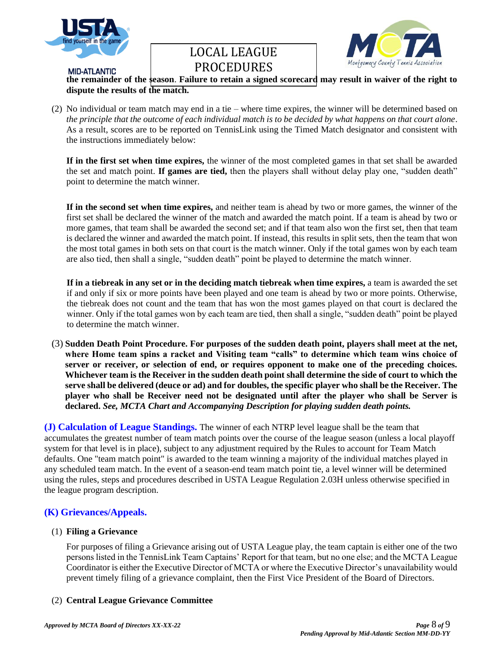

## LOCAL LEAGUE PROCEDURES



**MID-ATLANTIC the remainder of the season**. **Failure to retain a signed scorecard may result in waiver of the right to dispute the results of the match.**

(2) No individual or team match may end in a tie – where time expires, the winner will be determined based on *the principle that the outcome of each individual match is to be decided by what happens on that court alone*. As a result, scores are to be reported on TennisLink using the Timed Match designator and consistent with the instructions immediately below:

**If in the first set when time expires,** the winner of the most completed games in that set shall be awarded the set and match point. **If games are tied,** then the players shall without delay play one, "sudden death" point to determine the match winner.

**If in the second set when time expires,** and neither team is ahead by two or more games, the winner of the first set shall be declared the winner of the match and awarded the match point. If a team is ahead by two or more games, that team shall be awarded the second set; and if that team also won the first set, then that team is declared the winner and awarded the match point. If instead, this results in split sets, then the team that won the most total games in both sets on that court is the match winner. Only if the total games won by each team are also tied, then shall a single, "sudden death" point be played to determine the match winner.

**If in a tiebreak in any set or in the deciding match tiebreak when time expires,** a team is awarded the set if and only if six or more points have been played and one team is ahead by two or more points. Otherwise, the tiebreak does not count and the team that has won the most games played on that court is declared the winner. Only if the total games won by each team are tied, then shall a single, "sudden death" point be played to determine the match winner.

(3) **Sudden Death Point Procedure. For purposes of the sudden death point, players shall meet at the net, where Home team spins a racket and Visiting team "calls" to determine which team wins choice of server or receiver, or selection of end, or requires opponent to make one of the preceding choices. Whichever team is the Receiver in the sudden death point shall determine the side of court to which the serve shall be delivered (deuce or ad) and for doubles, the specific player who shall be the Receiver. The player who shall be Receiver need not be designated until after the player who shall be Server is declared.** *See, MCTA Chart and Accompanying Description for playing sudden death points.*

**(J) Calculation of League Standings.** The winner of each NTRP level league shall be the team that accumulates the greatest number of team match points over the course of the league season (unless a local playoff system for that level is in place), subject to any adjustment required by the Rules to account for Team Match defaults. One "team match point" is awarded to the team winning a majority of the individual matches played in any scheduled team match. In the event of a season-end team match point tie, a level winner will be determined using the rules, steps and procedures described in USTA League Regulation 2.03H unless otherwise specified in the league program description.

### **(K) Grievances/Appeals.**

#### (1) **Filing a Grievance**

For purposes of filing a Grievance arising out of USTA League play, the team captain is either one of the two persons listed in the TennisLink Team Captains' Report for that team, but no one else; and the MCTA League Coordinator is either the Executive Director of MCTA or where the Executive Director's unavailability would prevent timely filing of a grievance complaint, then the First Vice President of the Board of Directors.

#### (2) **Central League Grievance Committee**